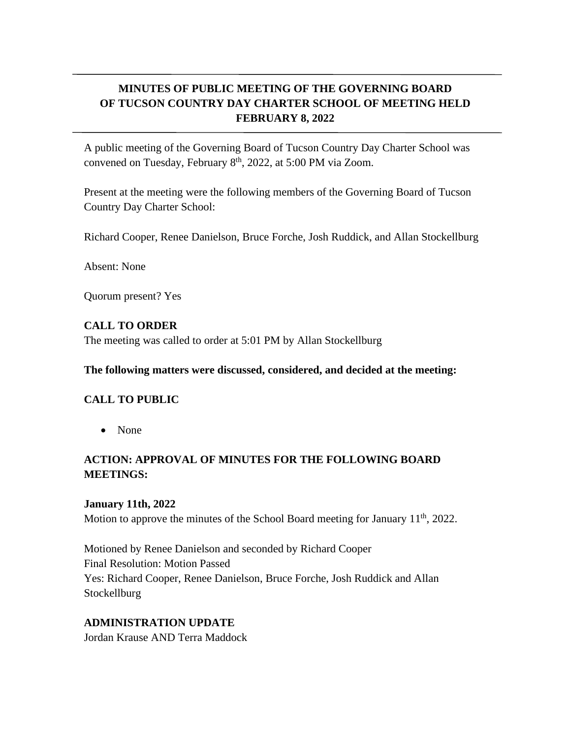# **MINUTES OF PUBLIC MEETING OF THE GOVERNING BOARD OF TUCSON COUNTRY DAY CHARTER SCHOOL OF MEETING HELD FEBRUARY 8, 2022**

A public meeting of the Governing Board of Tucson Country Day Charter School was convened on Tuesday, February 8<sup>th</sup>, 2022, at 5:00 PM via Zoom.

Present at the meeting were the following members of the Governing Board of Tucson Country Day Charter School:

Richard Cooper, Renee Danielson, Bruce Forche, Josh Ruddick, and Allan Stockellburg

Absent: None

Quorum present? Yes

#### **CALL TO ORDER**

The meeting was called to order at 5:01 PM by Allan Stockellburg

#### **The following matters were discussed, considered, and decided at the meeting:**

### **CALL TO PUBLIC**

• None

## **ACTION: APPROVAL OF MINUTES FOR THE FOLLOWING BOARD MEETINGS:**

### **January 11th, 2022**

Motion to approve the minutes of the School Board meeting for January  $11<sup>th</sup>$ , 2022.

Motioned by Renee Danielson and seconded by Richard Cooper Final Resolution: Motion Passed Yes: Richard Cooper, Renee Danielson, Bruce Forche, Josh Ruddick and Allan Stockellburg

### **ADMINISTRATION UPDATE**

Jordan Krause AND Terra Maddock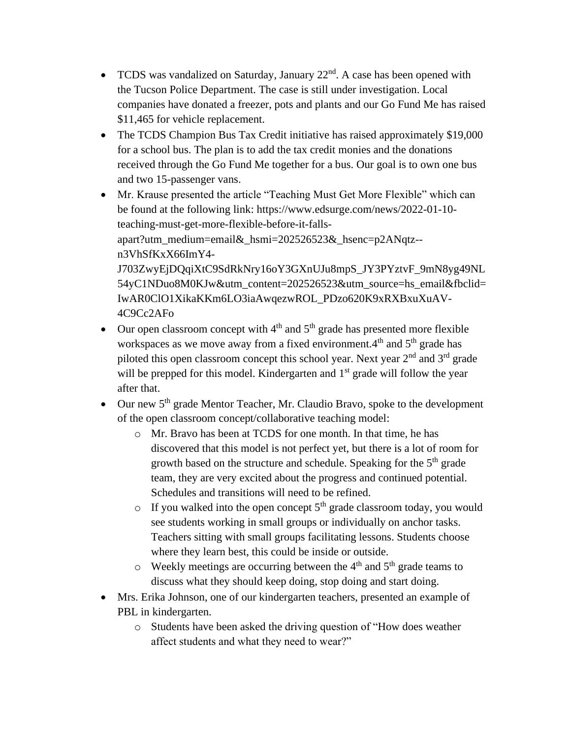- TCDS was vandalized on Saturday, January  $22<sup>nd</sup>$ . A case has been opened with the Tucson Police Department. The case is still under investigation. Local companies have donated a freezer, pots and plants and our Go Fund Me has raised \$11,465 for vehicle replacement.
- The TCDS Champion Bus Tax Credit initiative has raised approximately \$19,000 for a school bus. The plan is to add the tax credit monies and the donations received through the Go Fund Me together for a bus. Our goal is to own one bus and two 15-passenger vans.
- Mr. Krause presented the article "Teaching Must Get More Flexible" which can be found at the following link: https://www.edsurge.com/news/2022-01-10 teaching-must-get-more-flexible-before-it-fallsapart?utm\_medium=email&\_hsmi=202526523&\_hsenc=p2ANqtz- n3VhSfKxX66ImY4- J703ZwyEjDQqiXtC9SdRkNry16oY3GXnUJu8mpS\_JY3PYztvF\_9mN8yg49NL 54yC1NDuo8M0KJw&utm\_content=202526523&utm\_source=hs\_email&fbclid= IwAR0ClO1XikaKKm6LO3iaAwqezwROL\_PDzo620K9xRXBxuXuAV-4C9Cc2AFo
- Our open classroom concept with  $4<sup>th</sup>$  and  $5<sup>th</sup>$  grade has presented more flexible workspaces as we move away from a fixed environment.4<sup>th</sup> and 5<sup>th</sup> grade has piloted this open classroom concept this school year. Next year  $2<sup>nd</sup>$  and  $3<sup>rd</sup>$  grade will be prepped for this model. Kindergarten and  $1<sup>st</sup>$  grade will follow the year after that.
- Our new  $5<sup>th</sup>$  grade Mentor Teacher, Mr. Claudio Bravo, spoke to the development of the open classroom concept/collaborative teaching model:
	- o Mr. Bravo has been at TCDS for one month. In that time, he has discovered that this model is not perfect yet, but there is a lot of room for growth based on the structure and schedule. Speaking for the  $5<sup>th</sup>$  grade team, they are very excited about the progress and continued potential. Schedules and transitions will need to be refined.
	- $\circ$  If you walked into the open concept 5<sup>th</sup> grade classroom today, you would see students working in small groups or individually on anchor tasks. Teachers sitting with small groups facilitating lessons. Students choose where they learn best, this could be inside or outside.
	- $\circ$  Weekly meetings are occurring between the 4<sup>th</sup> and 5<sup>th</sup> grade teams to discuss what they should keep doing, stop doing and start doing.
- Mrs. Erika Johnson, one of our kindergarten teachers, presented an example of PBL in kindergarten.
	- o Students have been asked the driving question of "How does weather affect students and what they need to wear?"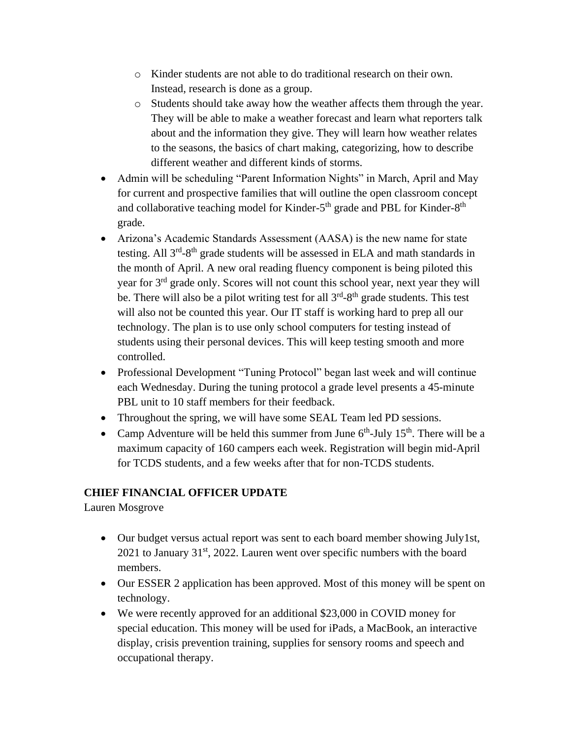- o Kinder students are not able to do traditional research on their own. Instead, research is done as a group.
- o Students should take away how the weather affects them through the year. They will be able to make a weather forecast and learn what reporters talk about and the information they give. They will learn how weather relates to the seasons, the basics of chart making, categorizing, how to describe different weather and different kinds of storms.
- Admin will be scheduling "Parent Information Nights" in March, April and May for current and prospective families that will outline the open classroom concept and collaborative teaching model for Kinder-5<sup>th</sup> grade and PBL for Kinder-8<sup>th</sup> grade.
- Arizona's Academic Standards Assessment (AASA) is the new name for state testing. All 3<sup>rd</sup>-8<sup>th</sup> grade students will be assessed in ELA and math standards in the month of April. A new oral reading fluency component is being piloted this year for 3<sup>rd</sup> grade only. Scores will not count this school year, next year they will be. There will also be a pilot writing test for all  $3<sup>rd</sup> - 8<sup>th</sup>$  grade students. This test will also not be counted this year. Our IT staff is working hard to prep all our technology. The plan is to use only school computers for testing instead of students using their personal devices. This will keep testing smooth and more controlled.
- Professional Development "Tuning Protocol" began last week and will continue each Wednesday. During the tuning protocol a grade level presents a 45-minute PBL unit to 10 staff members for their feedback.
- Throughout the spring, we will have some SEAL Team led PD sessions.
- Camp Adventure will be held this summer from June  $6<sup>th</sup>$ -July 15<sup>th</sup>. There will be a maximum capacity of 160 campers each week. Registration will begin mid-April for TCDS students, and a few weeks after that for non-TCDS students.

## **CHIEF FINANCIAL OFFICER UPDATE**

Lauren Mosgrove

- Our budget versus actual report was sent to each board member showing July1st, 2021 to January 31<sup>st</sup>, 2022. Lauren went over specific numbers with the board members.
- Our ESSER 2 application has been approved. Most of this money will be spent on technology.
- We were recently approved for an additional \$23,000 in COVID money for special education. This money will be used for iPads, a MacBook, an interactive display, crisis prevention training, supplies for sensory rooms and speech and occupational therapy.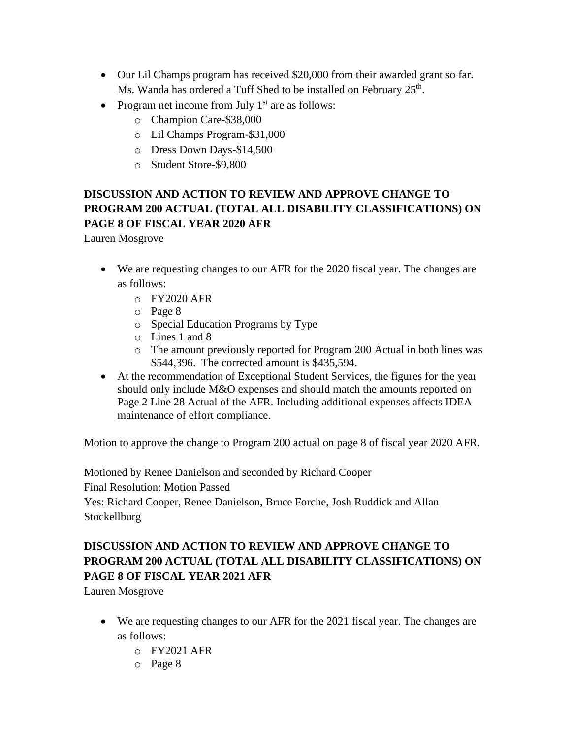- Our Lil Champs program has received \$20,000 from their awarded grant so far. Ms. Wanda has ordered a Tuff Shed to be installed on February 25<sup>th</sup>.
- Program net income from July  $1<sup>st</sup>$  are as follows:
	- o Champion Care-\$38,000
	- o Lil Champs Program-\$31,000
	- o Dress Down Days-\$14,500
	- o Student Store-\$9,800

# **DISCUSSION AND ACTION TO REVIEW AND APPROVE CHANGE TO PROGRAM 200 ACTUAL (TOTAL ALL DISABILITY CLASSIFICATIONS) ON PAGE 8 OF FISCAL YEAR 2020 AFR**

Lauren Mosgrove

- We are requesting changes to our AFR for the 2020 fiscal year. The changes are as follows:
	- o FY2020 AFR
	- o Page 8
	- o Special Education Programs by Type
	- o Lines 1 and 8
	- o The amount previously reported for Program 200 Actual in both lines was \$544,396. The corrected amount is \$435,594.
- At the recommendation of Exceptional Student Services, the figures for the year should only include M&O expenses and should match the amounts reported on Page 2 Line 28 Actual of the AFR. Including additional expenses affects IDEA maintenance of effort compliance.

Motion to approve the change to Program 200 actual on page 8 of fiscal year 2020 AFR.

Motioned by Renee Danielson and seconded by Richard Cooper Final Resolution: Motion Passed Yes: Richard Cooper, Renee Danielson, Bruce Forche, Josh Ruddick and Allan

Stockellburg

# **DISCUSSION AND ACTION TO REVIEW AND APPROVE CHANGE TO PROGRAM 200 ACTUAL (TOTAL ALL DISABILITY CLASSIFICATIONS) ON PAGE 8 OF FISCAL YEAR 2021 AFR**

Lauren Mosgrove

- We are requesting changes to our AFR for the 2021 fiscal year. The changes are as follows:
	- $o$  FY2021 AFR
	- o Page 8